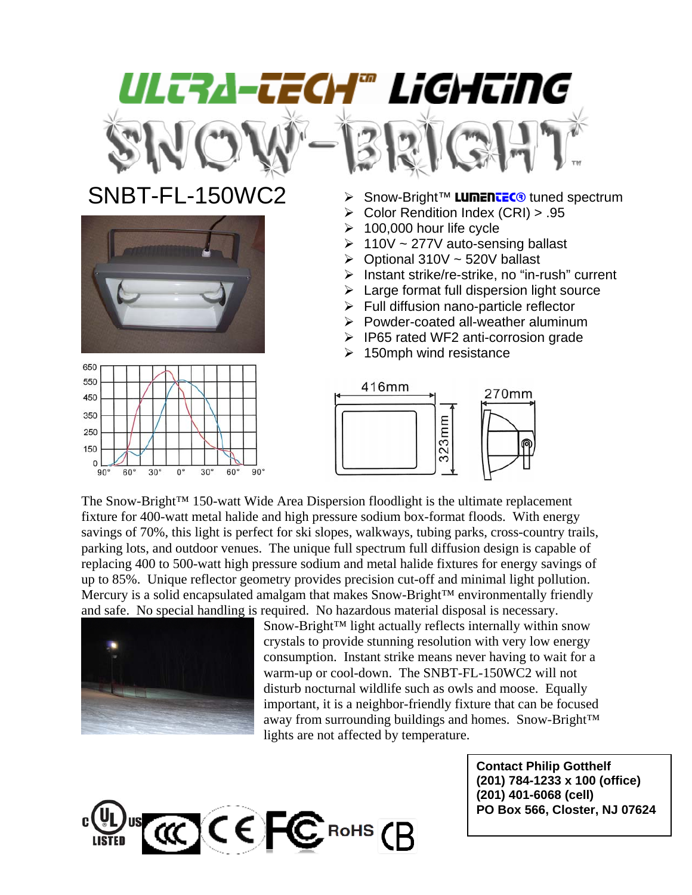

The Snow-Bright™ 150-watt Wide Area Dispersion floodlight is the ultimate replacement fixture for 400-watt metal halide and high pressure sodium box-format floods. With energy savings of 70%, this light is perfect for ski slopes, walkways, tubing parks, cross-country trails, parking lots, and outdoor venues. The unique full spectrum full diffusion design is capable of replacing 400 to 500-watt high pressure sodium and metal halide fixtures for energy savings of up to 85%. Unique reflector geometry provides precision cut-off and minimal light pollution. Mercury is a solid encapsulated amalgam that makes Snow-Bright™ environmentally friendly and safe. No special handling is required. No hazardous material disposal is necessary.



Snow-Bright™ light actually reflects internally within snow crystals to provide stunning resolution with very low energy consumption. Instant strike means never having to wait for a warm-up or cool-down. The SNBT-FL-150WC2 will not disturb nocturnal wildlife such as owls and moose. Equally important, it is a neighbor-friendly fixture that can be focused away from surrounding buildings and homes. Snow-Bright™ lights are not affected by temperature.

> **Contact Philip Gotthelf (201) 784-1233 x 100 (office) (201) 401-6068 (cell) PO Box 566, Closter, NJ 07624**